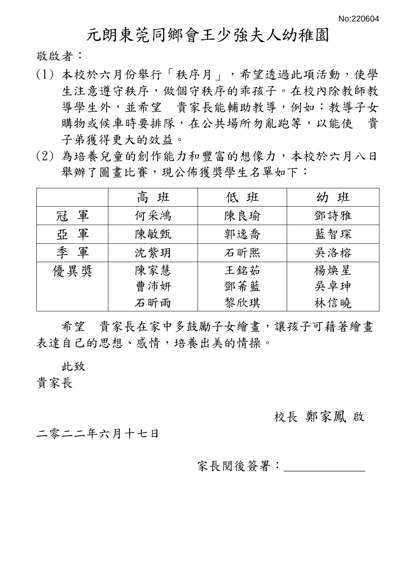## 元朗東莞同鄉會王少強夫人幼稚園

敬啟者:

- (1) 本校於六月份舉行「秩序月」,希望透過此項活動,使學 生注意遵守秩序,做個守秩序的乖孩子。在校內除教師教 導學生外,並希望 貴家長能輔助教導,例如:教導子女 購物或候車時要排隊,在公共場所勿亂跑等,以能使 貴 子弟獲得更大的效益。
- (2) 為培養兒童的創作能力和豐富的想像力,本校於六月八日 舉辦了圖書比賽,現公佈獲獎學生名單如下:

|     | 高班  | 低班  | 幼班  |
|-----|-----|-----|-----|
| 冠軍  | 何采鴻 | 陳良瑜 | 鄧詩雅 |
| 亞軍  | 陳敏甄 | 郭逸喬 | 藍智琛 |
| 季軍  | 沈紫玥 | 石昕熙 | 吳洛榕 |
| 優異獎 | 陳家慧 | 王銘茹 | 楊煥星 |
|     | 曹沛妍 | 鄧莃藍 | 吳卓珅 |
|     | 石昕雨 | 黎欣琪 | 林信曉 |

希望 貴家長在家中多鼓勵子女繪書,讓孩子可藉著繪書 表達自己的思想、感情,培養出美的情操。

此致

貴家長

校長 鄭家鳳 啟

二零二二年六月十七日

家長閲後簽署: